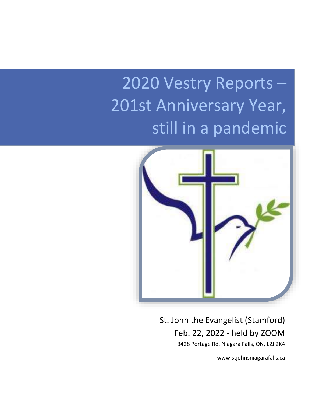# 2020 Vestry Reports – 201st Anniversary Year, still in a pandemic



St. John the Evangelist (Stamford) Feb. 22, 2022 - held by ZOOM 3428 Portage Rd. Niagara Falls, ON, L2J 2K4

www.stjohnsniagarafalls.ca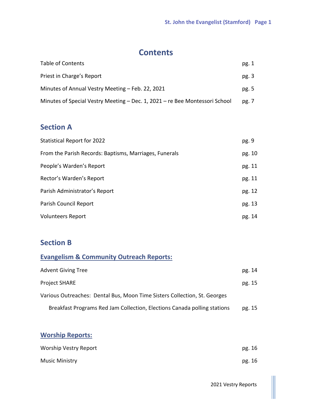# **Contents**

| Table of Contents                                                           | pg. 1 |
|-----------------------------------------------------------------------------|-------|
| Priest in Charge's Report                                                   | pg. 3 |
| Minutes of Annual Vestry Meeting – Feb. 22, 2021                            | pg. 5 |
| Minutes of Special Vestry Meeting – Dec. 1, 2021 – re Bee Montessori School | pg. 7 |

# **Section A**

| <b>Statistical Report for 2022</b>                     | pg. 9  |
|--------------------------------------------------------|--------|
| From the Parish Records: Baptisms, Marriages, Funerals | pg. 10 |
| People's Warden's Report                               | pg. 11 |
| Rector's Warden's Report                               | pg. 11 |
| Parish Administrator's Report                          | pg. 12 |
| Parish Council Report                                  | pg. 13 |
| <b>Volunteers Report</b>                               | pg. 14 |

# **Section B**

| <b>Evangelism &amp; Community Outreach Reports:</b>                       |        |
|---------------------------------------------------------------------------|--------|
| <b>Advent Giving Tree</b>                                                 | pg. 14 |
| <b>Project SHARE</b>                                                      | pg. 15 |
| Various Outreaches: Dental Bus, Moon Time Sisters Collection, St. Georges |        |
| Breakfast Programs Red Jam Collection, Elections Canada polling stations  | pg. 15 |

# **Worship Reports:**

| Worship Vestry Report | pg. 16 |
|-----------------------|--------|
| Music Ministry        | pg. 16 |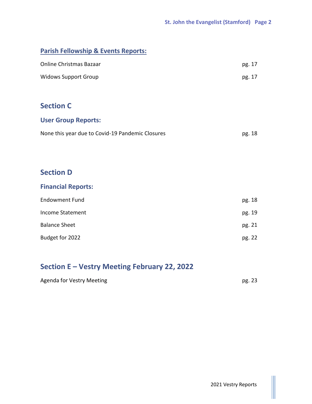# **Parish Fellowship & Events Reports:**

| Online Christmas Bazaar | pg. 17 |
|-------------------------|--------|
| Widows Support Group    | pg. 17 |

# **Section C**

# **User Group Reports:**

| None this year due to Covid-19 Pandemic Closures | pg. 18 |
|--------------------------------------------------|--------|
|--------------------------------------------------|--------|

# **Section D**

# **Financial Reports:**

| <b>Endowment Fund</b> | pg. 18 |
|-----------------------|--------|
| Income Statement      | pg. 19 |
| <b>Balance Sheet</b>  | pg. 21 |
| Budget for 2022       | pg. 22 |

# **Section E – Vestry Meeting February 22, 2022**

| <b>Agenda for Vestry Meeting</b> | pg. 23 |
|----------------------------------|--------|
|                                  |        |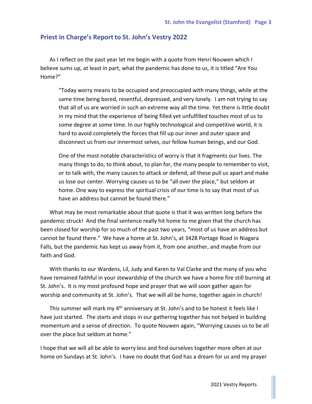#### **Priest in Charge's Report to St. John's Vestry 2022**

As I reflect on the past year let me begin with a quote from Henri Nouwen which I believe sums up, at least in part, what the pandemic has done to us, it is titled "Are You Home?"

"Today worry means to be occupied and preoccupied with many things, while at the same time being bored, resentful, depressed, and very lonely. I am not trying to say that all of us are worried in such an extreme way all the time. Yet there is little doubt in my mind that the experience of being filled yet unfulfilled touches most of us to some degree at some time. In our highly technological and competitive world, it is hard to avoid completely the forces that fill up our inner and outer space and disconnect us from our innermost selves, our fellow human beings, and our God.

One of the most notable characteristics of worry is that it fragments our lives. The many things to do, to think about, to plan for, the many people to remember to visit, or to talk with, the many causes to attack or defend, all these pull us apart and make us lose our center. Worrying causes us to be "all over the place," but seldom at home. One way to express the spiritual crisis of our time is to say that most of us have an address but cannot be found there."

What may be most remarkable about that quote is that it was written long before the pandemic struck! And the final sentence really hit home to me given that the church has been closed for worship for so much of the past two years, "most of us have an address but cannot be found there." We have a home at St. John's, at 3428 Portage Road in Niagara Falls, but the pandemic has kept us away from it, from one another, and maybe from our faith and God.

With thanks to our Wardens, Lil, Judy and Karen to Val Clarke and the many of you who have remained faithful in your stewardship of the church we have a home fire still burning at St. John's. It is my most profound hope and prayer that we will soon gather again for worship and community at St. John's. That we will all be home, together again in church!

This summer will mark my  $4<sup>th</sup>$  anniversary at St. John's and to be honest it feels like I have just started. The starts and stops in our gathering together has not helped in building momentum and a sense of direction. To quote Nouwen again, "Worrying causes us to be all over the place but seldom at home."

I hope that we will all be able to worry less and find ourselves together more often at our home on Sundays at St. John's. I have no doubt that God has a dream for us and my prayer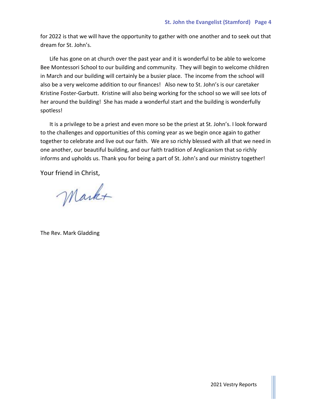for 2022 is that we will have the opportunity to gather with one another and to seek out that dream for St. John's.

Life has gone on at church over the past year and it is wonderful to be able to welcome Bee Montessori School to our building and community. They will begin to welcome children in March and our building will certainly be a busier place. The income from the school will also be a very welcome addition to our finances! Also new to St. John's is our caretaker Kristine Foster-Garbutt. Kristine will also being working for the school so we will see lots of her around the building! She has made a wonderful start and the building is wonderfully spotless!

It is a privilege to be a priest and even more so be the priest at St. John's. I look forward to the challenges and opportunities of this coming year as we begin once again to gather together to celebrate and live out our faith. We are so richly blessed with all that we need in one another, our beautiful building, and our faith tradition of Anglicanism that so richly informs and upholds us. Thank you for being a part of St. John's and our ministry together!

Your friend in Christ,

Markt

The Rev. Mark Gladding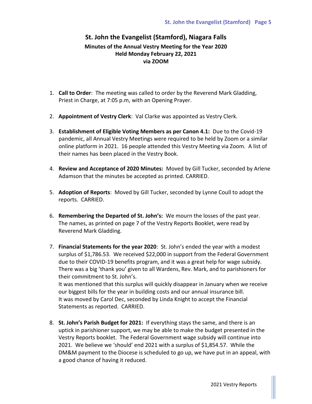# **St. John the Evangelist (Stamford), Niagara Falls Minutes of the Annual Vestry Meeting for the Year 2020 Held Monday February 22, 2021 via ZOOM**

- 1. **Call to Order**: The meeting was called to order by the Reverend Mark Gladding, Priest in Charge, at 7:05 p.m, with an Opening Prayer.
- 2. **Appointment of Vestry Clerk**: Val Clarke was appointed as Vestry Clerk.
- 3. **Establishment of Eligible Voting Members as per Canon 4.1:** Due to the Covid-19 pandemic, all Annual Vestry Meetings were required to be held by Zoom or a similar online platform in 2021. 16 people attended this Vestry Meeting via Zoom. A list of their names has been placed in the Vestry Book.
- 4. **Review and Acceptance of 2020 Minutes:** Moved by Gill Tucker, seconded by Arlene Adamson that the minutes be accepted as printed. CARRIED.
- 5. **Adoption of Reports**: Moved by Gill Tucker, seconded by Lynne Coull to adopt the reports. CARRIED.
- 6. **Remembering the Departed of St. John's:** We mourn the losses of the past year. The names, as printed on page 7 of the Vestry Reports Booklet, were read by Reverend Mark Gladding.
- 7. **Financial Statements for the year 2020**: St. John's ended the year with a modest surplus of \$1,786.53. We received \$22,000 in support from the Federal Government due to their COVID-19 benefits program, and it was a great help for wage subsidy. There was a big 'thank you' given to all Wardens, Rev. Mark, and to parishioners for their commitment to St. John's.

It was mentioned that this surplus will quickly disappear in January when we receive our biggest bills for the year in building costs and our annual insurance bill. It was moved by Carol Dec, seconded by Linda Knight to accept the Financial Statements as reported. CARRIED.

8. **St. John's Parish Budget for 2021:** If everything stays the same, and there is an uptick in parishioner support, we may be able to make the budget presented in the Vestry Reports booklet. The Federal Government wage subsidy will continue into 2021. We believe we 'should' end 2021 with a surplus of \$1,854.57. While the DM&M payment to the Diocese is scheduled to go up, we have put in an appeal, with a good chance of having it reduced.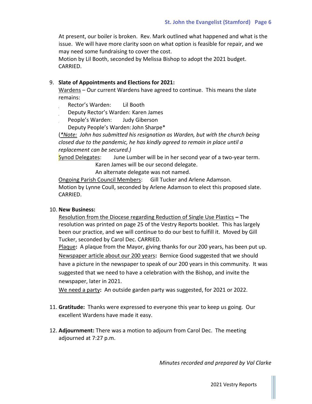At present, our boiler is broken. Rev. Mark outlined what happened and what is the issue. We will have more clarity soon on what option is feasible for repair, and we may need some fundraising to cover the cost.

Motion by Lil Booth, seconded by Melissa Bishop to adopt the 2021 budget. CARRIED.

#### 9. **Slate of Appointments and Elections for 2021:**

Wardens – Our current Wardens have agreed to continue. This means the slate remains:

Rector's Warden: Lil Booth

Deputy Rector's Warden: Karen James

People's Warden: Judy Giberson

Deputy People's Warden:John Sharpe\*

(*\*Note: John has submitted his resignation as Warden, but with the church being closed due to the pandemic, he has kindly agreed to remain in place until a replacement can be secured.)*

Synod Delegates: June Lumber will be in her second year of a two-year term. Karen James will be our second delegate.

An alternate delegate was not named.

Ongoing Parish Council Members: Gill Tucker and Arlene Adamson. Motion by Lynne Coull, seconded by Arlene Adamson to elect this proposed slate. CARRIED.

#### 10. **New Business:**

Resolution from the Diocese regarding Reduction of Single Use Plastics **–** The resolution was printed on page 25 of the Vestry Reports booklet. This has largely been our practice, and we will continue to do our best to fulfill it. Moved by Gill Tucker, seconded by Carol Dec. CARRIED.

Plaque**:** A plaque from the Mayor, giving thanks for our 200 years, has been put up. Newspaper article about our 200 years**:** Bernice Good suggested that we should have a picture in the newspaper to speak of our 200 years in this community. It was suggested that we need to have a celebration with the Bishop, and invite the newspaper, later in 2021.

We need a party**:** An outside garden party was suggested, for 2021 or 2022.

- 11. **Gratitude:** Thanks were expressed to everyone this year to keep us going. Our excellent Wardens have made it easy.
- 12. **Adjournment:** There was a motion to adjourn from Carol Dec. The meeting adjourned at 7:27 p.m.

*Minutes recorded and prepared by Val Clarke*

2021 Vestry Reports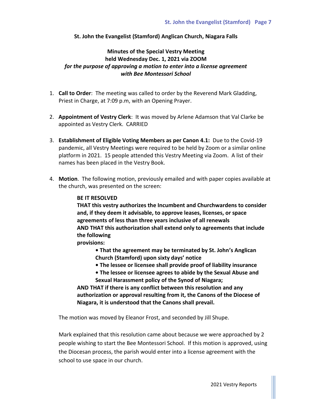#### **St. John the Evangelist (Stamford) Anglican Church, Niagara Falls**

## **Minutes of the Special Vestry Meeting held Wednesday Dec. 1, 2021 via ZOOM** *for the purpose of approving a motion to enter into a license agreement with Bee Montessori School*

- 1. **Call to Order**: The meeting was called to order by the Reverend Mark Gladding, Priest in Charge, at 7:09 p.m, with an Opening Prayer.
- 2. **Appointment of Vestry Clerk**: It was moved by Arlene Adamson that Val Clarke be appointed as Vestry Clerk. CARRIED
- 3. **Establishment of Eligible Voting Members as per Canon 4.1:** Due to the Covid-19 pandemic, all Vestry Meetings were required to be held by Zoom or a similar online platform in 2021. 15 people attended this Vestry Meeting via Zoom. A list of their names has been placed in the Vestry Book.
- 4. **Motion**. The following motion, previously emailed and with paper copies available at the church, was presented on the screen:

#### **BE IT RESOLVED**

**THAT this vestry authorizes the Incumbent and Churchwardens to consider and, if they deem it advisable, to approve leases, licenses, or space agreements of less than three years inclusive of all renewals AND THAT this authorization shall extend only to agreements that include the following**

**provisions:**

- **That the agreement may be terminated by St. John's Anglican Church (Stamford) upon sixty days' notice**
- **The lessee or licensee shall provide proof of liability insurance**
- **The lessee or licensee agrees to abide by the Sexual Abuse and Sexual Harassment policy of the Synod of Niagara;**

**AND THAT if there is any conflict between this resolution and any authorization or approval resulting from it, the Canons of the Diocese of Niagara, it is understood that the Canons shall prevail.**

The motion was moved by Eleanor Frost, and seconded by Jill Shupe.

Mark explained that this resolution came about because we were approached by 2 people wishing to start the Bee Montessori School. If this motion is approved, using the Diocesan process, the parish would enter into a license agreement with the school to use space in our church.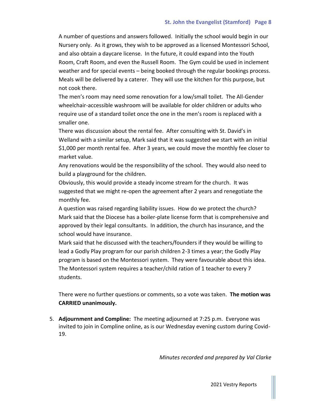A number of questions and answers followed. Initially the school would begin in our Nursery only. As it grows, they wish to be approved as a licensed Montessori School, and also obtain a daycare license. In the future, it could expand into the Youth Room, Craft Room, and even the Russell Room. The Gym could be used in inclement weather and for special events – being booked through the regular bookings process. Meals will be delivered by a caterer. They will use the kitchen for this purpose, but not cook there.

The men's room may need some renovation for a low/small toilet. The All-Gender wheelchair-accessible washroom will be available for older children or adults who require use of a standard toilet once the one in the men's room is replaced with a smaller one.

There was discussion about the rental fee. After consulting with St. David's in Welland with a similar setup, Mark said that it was suggested we start with an initial \$1,000 per month rental fee. After 3 years, we could move the monthly fee closer to market value.

Any renovations would be the responsibility of the school. They would also need to build a playground for the children.

Obviously, this would provide a steady income stream for the church. It was suggested that we might re-open the agreement after 2 years and renegotiate the monthly fee.

A question was raised regarding liability issues. How do we protect the church? Mark said that the Diocese has a boiler-plate license form that is comprehensive and approved by their legal consultants. In addition, the church has insurance, and the school would have insurance.

Mark said that he discussed with the teachers/founders if they would be willing to lead a Godly Play program for our parish children 2-3 times a year; the Godly Play program is based on the Montessori system. They were favourable about this idea. The Montessori system requires a teacher/child ration of 1 teacher to every 7 students.

There were no further questions or comments, so a vote was taken. **The motion was CARRIED unanimously.**

5. **Adjournment and Compline:** The meeting adjourned at 7:25 p.m. Everyone was invited to join in Compline online, as is our Wednesday evening custom during Covid-19.

*Minutes recorded and prepared by Val Clarke*

2021 Vestry Reports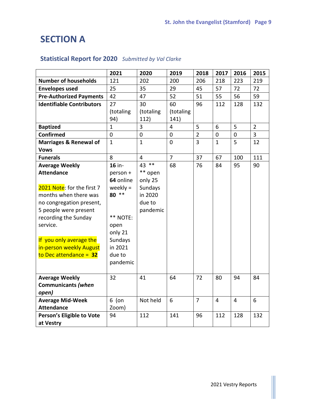# **SECTION A**

# **Statistical Report for 2020** *Submitted by Val Clarke*

|                                   | 2021         | 2020           | 2019           | 2018           | 2017           | 2016           | 2015           |
|-----------------------------------|--------------|----------------|----------------|----------------|----------------|----------------|----------------|
| <b>Number of households</b>       | 121          | 202            | 200            | 206            | 218            | 223            | 219            |
| <b>Envelopes used</b>             | 25           | 35             | 29             | 45             | 57             | 72             | 72             |
| <b>Pre-Authorized Payments</b>    | 42           | 47             | 52             | 51             | 55             | 56             | 59             |
| <b>Identifiable Contributors</b>  | 27           | 30             | 60             | 96             | 112            | 128            | 132            |
|                                   | (totaling    | (totaling      | (totaling      |                |                |                |                |
|                                   | 94)          | 112)           | 141)           |                |                |                |                |
| <b>Baptized</b>                   | $\mathbf{1}$ | 3              | $\overline{4}$ | 5              | 6              | 5              | $\overline{2}$ |
| <b>Confirmed</b>                  | $\pmb{0}$    | $\mathbf 0$    | $\mathbf 0$    | $\overline{2}$ | $\pmb{0}$      | $\mathbf 0$    | 3              |
| <b>Marriages &amp; Renewal of</b> | $\mathbf{1}$ | $\mathbf{1}$   | $\overline{0}$ | 3              | $\mathbf{1}$   | 5              | 12             |
| <b>Vows</b>                       |              |                |                |                |                |                |                |
| <b>Funerals</b>                   | 8            | $\overline{4}$ | $\overline{7}$ | 37             | 67             | 100            | 111            |
| <b>Average Weekly</b>             | 16 in-       | 43 **          | 68             | 76             | 84             | 95             | 90             |
| <b>Attendance</b>                 | person +     | ** open        |                |                |                |                |                |
|                                   | 64 online    | only 25        |                |                |                |                |                |
| 2021 Note: for the first 7        | weekly $=$   | Sundays        |                |                |                |                |                |
| months when there was             | $***$<br>80  | in 2020        |                |                |                |                |                |
| no congregation present,          |              | due to         |                |                |                |                |                |
| 5 people were present             |              | pandemic       |                |                |                |                |                |
| recording the Sunday              | ** NOTE:     |                |                |                |                |                |                |
| service.                          | open         |                |                |                |                |                |                |
|                                   | only 21      |                |                |                |                |                |                |
| If you only average the           | Sundays      |                |                |                |                |                |                |
| in-person weekly August           | in 2021      |                |                |                |                |                |                |
| to Dec attendance = $32$          | due to       |                |                |                |                |                |                |
|                                   | pandemic     |                |                |                |                |                |                |
|                                   |              |                |                |                |                |                |                |
| <b>Average Weekly</b>             | 32           | 41             | 64             | 72             | 80             | 94             | 84             |
| <b>Communicants (when</b>         |              |                |                |                |                |                |                |
| open)                             |              |                |                |                |                |                |                |
| <b>Average Mid-Week</b>           | $6$ (on      | Not held       | 6              | $\overline{7}$ | $\overline{4}$ | $\overline{4}$ | 6              |
| <b>Attendance</b>                 | Zoom)        |                |                |                |                |                |                |
| Person's Eligible to Vote         | 94           | 112            | 141            | 96             | 112            | 128            | 132            |
| at Vestry                         |              |                |                |                |                |                |                |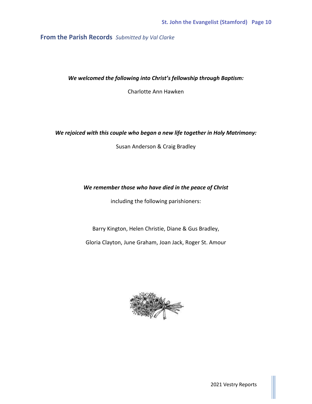# **From the Parish Records** *Submitted by Val Clarke*

*We welcomed the following into Christ's fellowship through Baptism:*

Charlotte Ann Hawken

#### *We rejoiced with this couple who began a new life together in Holy Matrimony:*

Susan Anderson & Craig Bradley

#### *We remember those who have died in the peace of Christ*

including the following parishioners:

Barry Kington, Helen Christie, Diane & Gus Bradley,

Gloria Clayton, June Graham, Joan Jack, Roger St. Amour



2021 Vestry Reports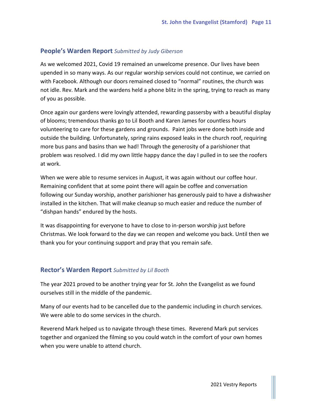# **People's Warden Report** *Submitted by Judy Giberson*

As we welcomed 2021, Covid 19 remained an unwelcome presence. Our lives have been upended in so many ways. As our regular worship services could not continue, we carried on with Facebook. Although our doors remained closed to "normal" routines, the church was not idle. Rev. Mark and the wardens held a phone blitz in the spring, trying to reach as many of you as possible.

Once again our gardens were lovingly attended, rewarding passersby with a beautiful display of blooms; tremendous thanks go to Lil Booth and Karen James for countless hours volunteering to care for these gardens and grounds. Paint jobs were done both inside and outside the building. Unfortunately, spring rains exposed leaks in the church roof, requiring more bus pans and basins than we had! Through the generosity of a parishioner that problem was resolved. I did my own little happy dance the day I pulled in to see the roofers at work.

When we were able to resume services in August, it was again without our coffee hour. Remaining confident that at some point there will again be coffee and conversation following our Sunday worship, another parishioner has generously paid to have a dishwasher installed in the kitchen. That will make cleanup so much easier and reduce the number of "dishpan hands" endured by the hosts.

It was disappointing for everyone to have to close to in-person worship just before Christmas. We look forward to the day we can reopen and welcome you back. Until then we thank you for your continuing support and pray that you remain safe.

## **Rector's Warden Report** *Submitted by Lil Booth*

The year 2021 proved to be another trying year for St. John the Evangelist as we found ourselves still in the middle of the pandemic.

Many of our events had to be cancelled due to the pandemic including in church services. We were able to do some services in the church.

Reverend Mark helped us to navigate through these times. Reverend Mark put services together and organized the filming so you could watch in the comfort of your own homes when you were unable to attend church.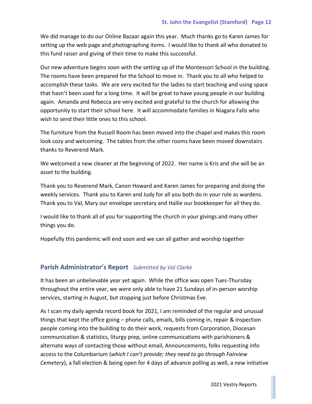We did manage to do our Online Bazaar again this year. Much thanks go to Karen James for setting up the web page and photographing items. I would like to thank all who donated to this fund raiser and giving of their time to make this successful.

Our new adventure begins soon with the setting up of the Montessori School in the building. The rooms have been prepared for the School to move in. Thank you to all who helped to accomplish these tasks. We are very excited for the ladies to start teaching and using space that hasn't been used for a long time. It will be great to have young people in our building again. Amanda and Rebecca are very excited and grateful to the church for allowing the opportunity to start their school here. It will accommodate families in Niagara Falls who wish to send their little ones to this school.

The furniture from the Russell Room has been moved into the chapel and makes this room look cozy and welcoming. The tables from the other rooms have been moved downstairs thanks to Reverend Mark.

We welcomed a new cleaner at the beginning of 2022. Her name is Kris and she will be an asset to the building.

Thank you to Reverend Mark, Canon Howard and Karen James for preparing and doing the weekly services. Thank you to Karen and Judy for all you both do in your role as wardens. Thank you to Val, Mary our envelope secretary and Hallie our bookkeeper for all they do.

I would like to thank all of you for supporting the church in your givings and many other things you do.

Hopefully this pandemic will end soon and we can all gather and worship together

# **Parish Administrator's Report** *Submitted by Val Clarke*

It has been an unbelievable year yet again. While the office was open Tues-Thursday throughout the entire year, we were only able to have 21 Sundays of in-person worship services, starting in August, but stopping just before Christmas Eve.

As I scan my daily agenda record book for 2021, I am reminded of the regular and unusual things that kept the office going – phone calls, emails, bills coming in, repair & inspection people coming into the building to do their work, requests from Corporation, Diocesan communication & statistics, liturgy prep, online communications with parishioners & alternate ways of contacting those without email, Announcements, folks requesting info access to the Columbarium (*which I can't provide; they need to go through Fairview Cemetery*), a fall election & being open for 4 days of advance polling as well, a new initiative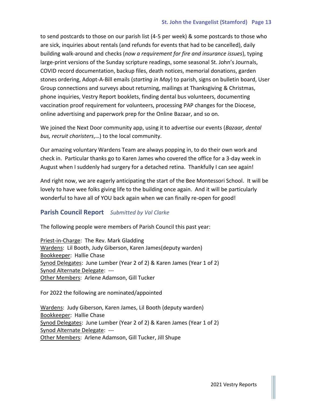to send postcards to those on our parish list (4-5 per week) & some postcards to those who are sick, inquiries about rentals (and refunds for events that had to be cancelled), daily building walk-around and checks (*now a requirement for fire and insurance issues*), typing large-print versions of the Sunday scripture readings, some seasonal St. John's Journals, COVID record documentation, backup files, death notices, memorial donations, garden stones ordering, Adopt-A-Bill emails (*starting in May*) to parish, signs on bulletin board, User Group connections and surveys about returning, mailings at Thanksgiving & Christmas, phone inquiries, Vestry Report booklets, finding dental bus volunteers, documenting vaccination proof requirement for volunteers, processing PAP changes for the Diocese, online advertising and paperwork prep for the Online Bazaar, and so on.

We joined the Next Door community app, using it to advertise our events (*Bazaar, dental bus, recruit choristers*,…) to the local community.

Our amazing voluntary Wardens Team are always popping in, to do their own work and check in. Particular thanks go to Karen James who covered the office for a 3-day week in August when I suddenly had surgery for a detached retina. Thankfully I can see again!

And right now, we are eagerly anticipating the start of the Bee Montessori School. It will be lovely to have wee folks giving life to the building once again. And it will be particularly wonderful to have all of YOU back again when we can finally re-open for good!

# **Parish Council Report** *Submitted by Val Clarke*

The following people were members of Parish Council this past year:

Priest-in-Charge: The Rev. Mark Gladding Wardens: Lil Booth, Judy Giberson, Karen James(deputy warden) Bookkeeper: Hallie Chase Synod Delegates: June Lumber (Year 2 of 2) & Karen James (Year 1 of 2) Synod Alternate Delegate: --- Other Members: Arlene Adamson, Gill Tucker

For 2022 the following are nominated/appointed

Wardens: Judy Giberson, Karen James, Lil Booth (deputy warden) Bookkeeper: Hallie Chase Synod Delegates: June Lumber (Year 2 of 2) & Karen James (Year 1 of 2) Synod Alternate Delegate: --- Other Members: Arlene Adamson, Gill Tucker, Jill Shupe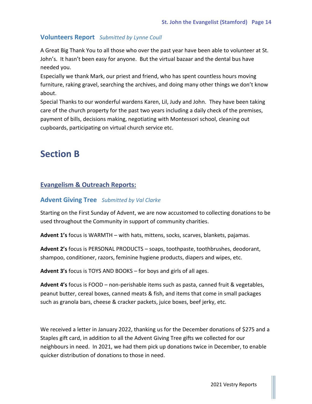# **Volunteers Report** *Submitted by Lynne Coull*

A Great Big Thank You to all those who over the past year have been able to volunteer at St. John's. It hasn't been easy for anyone. But the virtual bazaar and the dental bus have needed you.

Especially we thank Mark, our priest and friend, who has spent countless hours moving furniture, raking gravel, searching the archives, and doing many other things we don't know about.

Special Thanks to our wonderful wardens Karen, Lil, Judy and John. They have been taking care of the church property for the past two years including a daily check of the premises, payment of bills, decisions making, negotiating with Montessori school, cleaning out cupboards, participating on virtual church service etc.

# **Section B**

# **Evangelism & Outreach Reports:**

# **Advent Giving Tree** *Submitted by Val Clarke*

Starting on the First Sunday of Advent, we are now accustomed to collecting donations to be used throughout the Community in support of community charities.

**Advent 1's** focus is WARMTH – with hats, mittens, socks, scarves, blankets, pajamas.

**Advent 2's** focus is PERSONAL PRODUCTS – soaps, toothpaste, toothbrushes, deodorant, shampoo, conditioner, razors, feminine hygiene products, diapers and wipes, etc.

**Advent 3's** focus is TOYS AND BOOKS – for boys and girls of all ages.

**Advent 4's** focus is FOOD – non-perishable items such as pasta, canned fruit & vegetables, peanut butter, cereal boxes, canned meats & fish, and items that come in small packages such as granola bars, cheese & cracker packets, juice boxes, beef jerky, etc.

We received a letter in January 2022, thanking us for the December donations of \$275 and a Staples gift card, in addition to all the Advent Giving Tree gifts we collected for our neighbours in need. In 2021, we had them pick up donations twice in December, to enable quicker distribution of donations to those in need.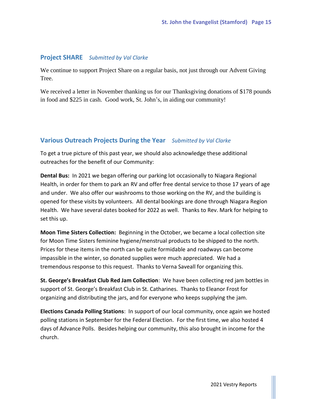#### **Project SHARE** *Submitted by Val Clarke*

We continue to support Project Share on a regular basis, not just through our Advent Giving Tree.

We received a letter in November thanking us for our Thanksgiving donations of \$178 pounds in food and \$225 in cash. Good work, St. John's, in aiding our community!

## **Various Outreach Projects During the Year** *Submitted by Val Clarke*

To get a true picture of this past year, we should also acknowledge these additional outreaches for the benefit of our Community:

**Dental Bus:** In 2021 we began offering our parking lot occasionally to Niagara Regional Health, in order for them to park an RV and offer free dental service to those 17 years of age and under. We also offer our washrooms to those working on the RV, and the building is opened for these visits by volunteers. All dental bookings are done through Niagara Region Health. We have several dates booked for 2022 as well. Thanks to Rev. Mark for helping to set this up.

**Moon Time Sisters Collection:** Beginning in the October, we became a local collection site for Moon Time Sisters feminine hygiene/menstrual products to be shipped to the north. Prices for these items in the north can be quite formidable and roadways can become impassible in the winter, so donated supplies were much appreciated. We had a tremendous response to this request. Thanks to Verna Saveall for organizing this.

**St. George's Breakfast Club Red Jam Collection**: We have been collecting red jam bottles in support of St. George's Breakfast Club in St. Catharines. Thanks to Eleanor Frost for organizing and distributing the jars, and for everyone who keeps supplying the jam.

**Elections Canada Polling Stations**: In support of our local community, once again we hosted polling stations in September for the Federal Election. For the first time, we also hosted 4 days of Advance Polls. Besides helping our community, this also brought in income for the church.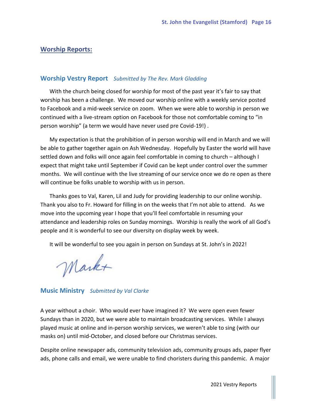#### **Worship Reports:**

#### **Worship Vestry Report** *Submitted by The Rev. Mark Gladding*

With the church being closed for worship for most of the past year it's fair to say that worship has been a challenge. We moved our worship online with a weekly service posted to Facebook and a mid-week service on zoom. When we were able to worship in person we continued with a live-stream option on Facebook for those not comfortable coming to "in person worship" (a term we would have never used pre Covid-19!) .

My expectation is that the prohibition of in person worship will end in March and we will be able to gather together again on Ash Wednesday. Hopefully by Easter the world will have settled down and folks will once again feel comfortable in coming to church – although I expect that might take until September if Covid can be kept under control over the summer months. We will continue with the live streaming of our service once we do re open as there will continue be folks unable to worship with us in person.

Thanks goes to Val, Karen, Lil and Judy for providing leadership to our online worship. Thank you also to Fr. Howard for filling in on the weeks that I'm not able to attend. As we move into the upcoming year I hope that you'll feel comfortable in resuming your attendance and leadership roles on Sunday mornings. Worship is really the work of all God's people and it is wonderful to see our diversity on display week by week.

It will be wonderful to see you again in person on Sundays at St. John's in 2022!

Markt

**Music Ministry** *Submitted by Val Clarke*

A year without a choir. Who would ever have imagined it? We were open even fewer Sundays than in 2020, but we were able to maintain broadcasting services. While I always played music at online and in-person worship services, we weren't able to sing (with our masks on) until mid-October, and closed before our Christmas services.

Despite online newspaper ads, community television ads, community groups ads, paper flyer ads, phone calls and email, we were unable to find choristers during this pandemic. A major

2021 Vestry Reports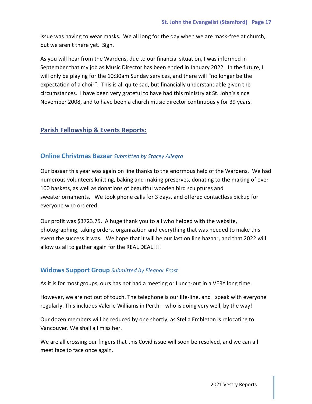issue was having to wear masks. We all long for the day when we are mask-free at church, but we aren't there yet. Sigh.

As you will hear from the Wardens, due to our financial situation, I was informed in September that my job as Music Director has been ended in January 2022. In the future, I will only be playing for the 10:30am Sunday services, and there will "no longer be the expectation of a choir". This is all quite sad, but financially understandable given the circumstances. I have been very grateful to have had this ministry at St. John's since November 2008, and to have been a church music director continuously for 39 years.

# **Parish Fellowship & Events Reports:**

## **Online Christmas Bazaar** *Submitted by Stacey Allegro*

Our bazaar this year was again on line thanks to the enormous help of the Wardens. We had numerous volunteers knitting, baking and making preserves, donating to the making of over 100 baskets, as well as donations of beautiful wooden bird sculptures and sweater ornaments. We took phone calls for 3 days, and offered contactless pickup for everyone who ordered.

Our profit was \$3723.75. A huge thank you to all who helped with the website, photographing, taking orders, organization and everything that was needed to make this event the success it was. We hope that it will be our last on line bazaar, and that 2022 will allow us all to gather again for the REAL DEAL!!!!

## **Widows Support Group** *Submitted by Eleanor Frost*

As it is for most groups, ours has not had a meeting or Lunch-out in a VERY long time.

However, we are not out of touch. The telephone is our life-line, and I speak with everyone regularly. This includes Valerie Williams in Perth – who is doing very well, by the way!

Our dozen members will be reduced by one shortly, as Stella Embleton is relocating to Vancouver. We shall all miss her.

We are all crossing our fingers that this Covid issue will soon be resolved, and we can all meet face to face once again.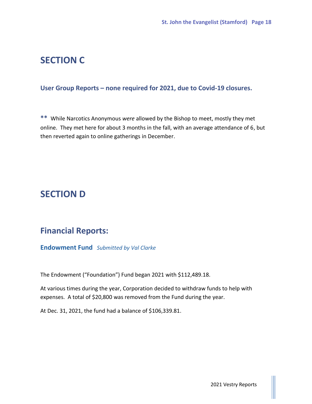# **SECTION C**

# **User Group Reports – none required for 2021, due to Covid-19 closures.**

**\*\*** While Narcotics Anonymous *were* allowed by the Bishop to meet, mostly they met online. They met here for about 3 months in the fall, with an average attendance of 6, but then reverted again to online gatherings in December.

# **SECTION D**

# **Financial Reports:**

**Endowment Fund** *Submitted by Val Clarke*

The Endowment ("Foundation") Fund began 2021 with \$112,489.18.

At various times during the year, Corporation decided to withdraw funds to help with expenses. A total of \$20,800 was removed from the Fund during the year.

At Dec. 31, 2021, the fund had a balance of \$106,339.81.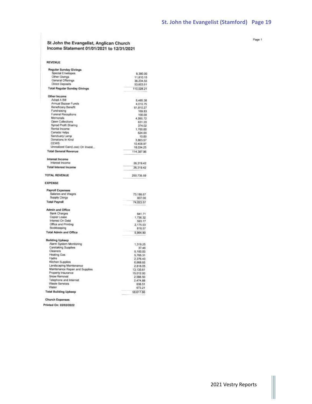# St John the Evangelist, Anglican Church<br>Income Statement 01/01/2021 to 12/31/2021

| <b>EVENUE</b> |  |  |
|---------------|--|--|

| Regular Sunday Givings                |                     |
|---------------------------------------|---------------------|
| Special Envelopes                     | 8,380.00            |
| Other Givings                         | 11,810.15           |
| General Offerings                     | 36,234.55           |
| Direct Deposits                       | 53,603.51           |
| <b>Total Regular Sunday Givings</b>   |                     |
|                                       | 110.028.21          |
| Other Income                          |                     |
| Adopt A Bill                          | 8.485.38            |
| Annual Bazaar Funds                   | 4,010.75            |
| Beneficiary Benefit                   | 61,910.27           |
| Fundraising                           | 169.83              |
| Funeral Receptions                    | 100.00              |
| Memorials                             | 4,065.72            |
| <b>Open Collections</b>               | 631.20              |
| Synod Profit Sharing                  | 374.02              |
| Rental Income                         | 1,700.00            |
| Canada Helps                          | 624.00              |
| Sanctuary Lamp                        | 10.00               |
| Donations In Kind                     | 3,863.57            |
| CEWS                                  | 10,408.97           |
| Unrealized Gain(Loss) On Invest       | 18.034.25           |
| <b>Total General Revenue</b>          | 114,387.96          |
| Interest Income                       |                     |
| Interest Income                       | 26,319.42           |
| <b>Total Interest Income</b>          | 26.319.42           |
| <b>TOTAL REVENUE</b>                  | 250.735.59          |
| <b>EXPENSE</b>                        |                     |
| <b>Payroll Expenses</b>               |                     |
| Salaries and Wages                    | 73,186.57           |
| Supply Clergy                         | 837.00              |
| <b>Total Payroll</b>                  | 74.023.57           |
| <b>Admin and Office</b>               |                     |
| Bank Charges                          | 641.71              |
| Copier Lease                          | 1,736.32            |
| Interest On Debt                      | 593.17              |
| Office and Printing                   | 2,175.03            |
| Bookkeeping                           | 818.57              |
| <b>Total Admin and Office</b>         | 5,964.80            |
| <b>Building Upkeep</b>                |                     |
| Alarm System Monitoring               |                     |
| Caretaking Supplies                   | 1.319.25            |
| Cleaners                              | 37.46               |
| Heating Gas                           | 5.100.00            |
| Hydro                                 | 5,765.31            |
| Kitchen Supplies                      | 2,376.43            |
|                                       | 6,668.65            |
| Landscaping Maintenance               | 2,818.05            |
| Maintenance Repair and Supplies       | 13,135.61           |
| Property Insurance                    | 15,012.00           |
| Snow Removal                          | 2,598.50            |
| Telephone and Internet                | 2,474.88            |
| Waste Services                        | 638.51              |
| Water<br><b>Total Building Upkeep</b> | 673.21<br>58.617.86 |
|                                       |                     |
| <b>Church Expenses</b>                |                     |

Printed On: 02/03/2022

Page 1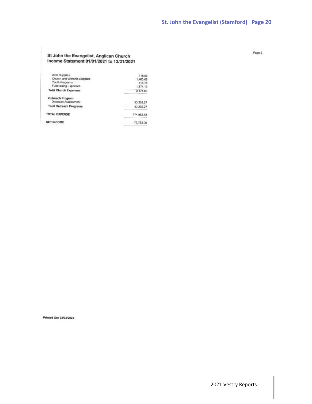# St John the Evangelist, Anglican Church<br>Income Statement 01/01/2021 to 12/31/2021

| Altar Supplies                          | <b>The State State</b><br>118.00 |
|-----------------------------------------|----------------------------------|
| Church and Worship Supples              | 1,463.09                         |
| Youth Programs                          | 418.78                           |
| Fundraising Expenses                    | 1.174.16                         |
| <b>Total Church Expenses</b>            | 3.174.03                         |
| Outreach Program<br>Dioceson Assessment | 33,202.27                        |
| <b>Total Outreach Programs</b>          | 33,202.27                        |
| <b>TOTAL EXPENSE</b>                    | 174, 982, 53                     |
| <b>NET INCOME</b>                       | 75,753.06                        |
|                                         |                                  |

Page 2

Printed On: 02/03/2022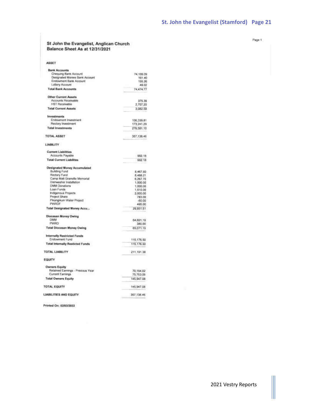#### St John the Evangelist, Anglican Church Balance Sheet As at 12/31/2021

| 74,109.09<br>161.40<br>155.26<br>49.02<br>74,474.77<br>375.39<br>2,707.20<br>3.082.59<br>106.339.81<br>173,241.29 |
|-------------------------------------------------------------------------------------------------------------------|
|                                                                                                                   |
|                                                                                                                   |
|                                                                                                                   |
|                                                                                                                   |
|                                                                                                                   |
|                                                                                                                   |
|                                                                                                                   |
|                                                                                                                   |
|                                                                                                                   |
|                                                                                                                   |
|                                                                                                                   |
|                                                                                                                   |
| 279,581.10                                                                                                        |
| 357,138.46                                                                                                        |
|                                                                                                                   |
|                                                                                                                   |
| 992.18                                                                                                            |
| 992.18                                                                                                            |
|                                                                                                                   |
| 8,467.60                                                                                                          |
| 8,488.21                                                                                                          |
| 6,267.70                                                                                                          |
| 1,000.00                                                                                                          |
|                                                                                                                   |
| 1,000.00                                                                                                          |
| 1,510.00                                                                                                          |
| 2,000.00                                                                                                          |
| 783.00                                                                                                            |
| $-60.00$                                                                                                          |
| 495.00                                                                                                            |
| 29,951.51                                                                                                         |
|                                                                                                                   |
| 64,691.19                                                                                                         |
| 380.00                                                                                                            |
| 65.071.19                                                                                                         |
|                                                                                                                   |
| 115.176.50                                                                                                        |
| 115, 176.50                                                                                                       |
| 211.191.38                                                                                                        |
|                                                                                                                   |
|                                                                                                                   |
| 70.194.02                                                                                                         |
| 75,753.06                                                                                                         |
| 145.947.08                                                                                                        |
|                                                                                                                   |
| 145.947.08                                                                                                        |
| 357,138.46                                                                                                        |
|                                                                                                                   |

Printed On: 02/03/2022

Page 1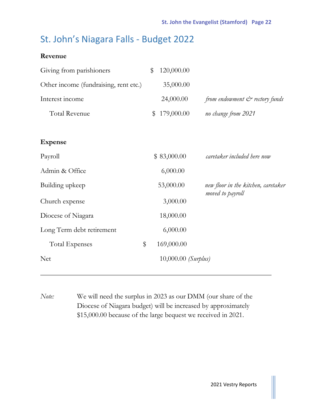# St. John's Niagara Falls - Budget 2022

# **Revenue**

| Giving from parishioners              | \$<br>120,000.00      |                                              |
|---------------------------------------|-----------------------|----------------------------------------------|
| Other income (fundraising, rent etc.) | 35,000.00             |                                              |
| Interest income                       | 24,000.00             | from endowment $\mathcal{C}^*$ rectory funds |
| <b>Total Revenue</b>                  | \$<br>179,000.00      | no change from 2021                          |
|                                       |                       |                                              |
| <b>Expense</b>                        |                       |                                              |
| Payroll                               | \$83,000.00           | caretaker included here now                  |
| Admin & Office                        | 6,000.00              |                                              |
| Building upkeep                       | 53,000.00             | new floor in the kitchen, caretaker          |
| Church expense                        | 3,000.00              | moved to payroll                             |
| Diocese of Niagara                    | 18,000.00             |                                              |
| Long Term debt retirement             | 6,000.00              |                                              |
| \$<br><b>Total Expenses</b>           | 169,000.00            |                                              |
| <b>Net</b>                            | $10,000.00$ (Surplus) |                                              |
|                                       |                       |                                              |

*Note:* We will need the surplus in 2023 as our DMM (our share of the Diocese of Niagara budget) will be increased by approximately \$15,000.00 because of the large bequest we received in 2021.